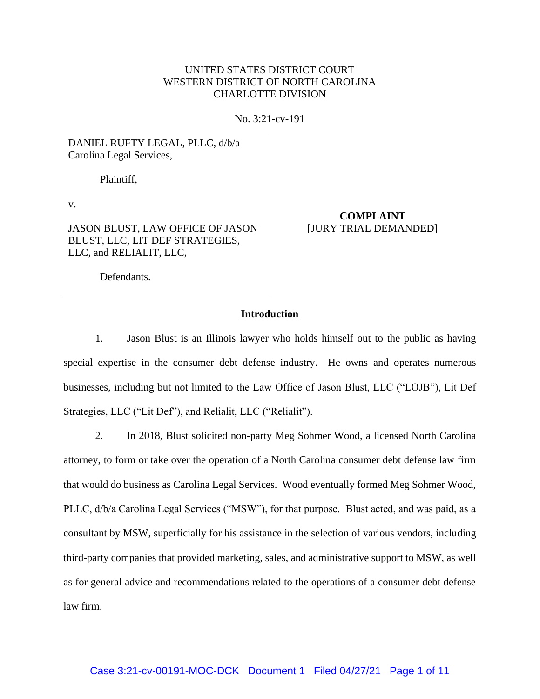# UNITED STATES DISTRICT COURT WESTERN DISTRICT OF NORTH CAROLINA CHARLOTTE DIVISION

No. 3:21-cv-191

DANIEL RUFTY LEGAL, PLLC, d/b/a Carolina Legal Services,

Plaintiff,

v.

JASON BLUST, LAW OFFICE OF JASON BLUST, LLC, LIT DEF STRATEGIES, LLC, and RELIALIT, LLC,

**COMPLAINT** [JURY TRIAL DEMANDED]

Defendants.

# **Introduction**

1. Jason Blust is an Illinois lawyer who holds himself out to the public as having special expertise in the consumer debt defense industry. He owns and operates numerous businesses, including but not limited to the Law Office of Jason Blust, LLC ("LOJB"), Lit Def Strategies, LLC ("Lit Def"), and Relialit, LLC ("Relialit").

2. In 2018, Blust solicited non-party Meg Sohmer Wood, a licensed North Carolina attorney, to form or take over the operation of a North Carolina consumer debt defense law firm that would do business as Carolina Legal Services. Wood eventually formed Meg Sohmer Wood, PLLC,  $d/b/a$  Carolina Legal Services ("MSW"), for that purpose. Blust acted, and was paid, as a consultant by MSW, superficially for his assistance in the selection of various vendors, including third-party companies that provided marketing, sales, and administrative support to MSW, as well as for general advice and recommendations related to the operations of a consumer debt defense law firm.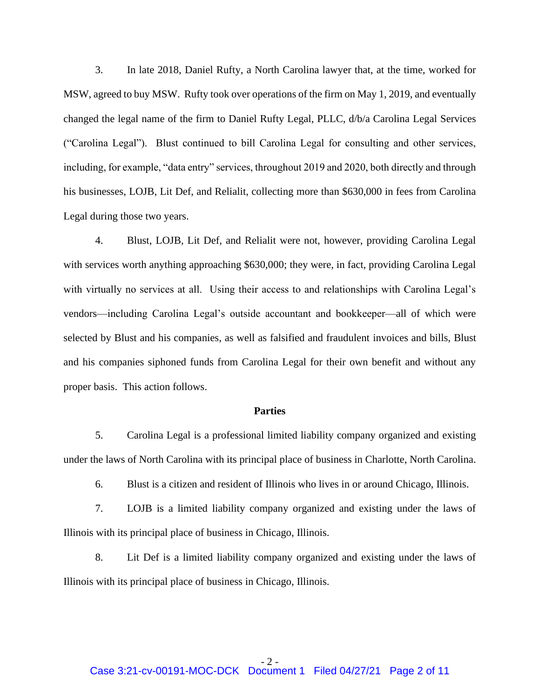3. In late 2018, Daniel Rufty, a North Carolina lawyer that, at the time, worked for MSW, agreed to buy MSW. Rufty took over operations of the firm on May 1, 2019, and eventually changed the legal name of the firm to Daniel Rufty Legal, PLLC, d/b/a Carolina Legal Services ("Carolina Legal"). Blust continued to bill Carolina Legal for consulting and other services, including, for example, "data entry" services, throughout 2019 and 2020, both directly and through his businesses, LOJB, Lit Def, and Relialit, collecting more than \$630,000 in fees from Carolina Legal during those two years.

4. Blust, LOJB, Lit Def, and Relialit were not, however, providing Carolina Legal with services worth anything approaching \$630,000; they were, in fact, providing Carolina Legal with virtually no services at all. Using their access to and relationships with Carolina Legal's vendors—including Carolina Legal's outside accountant and bookkeeper—all of which were selected by Blust and his companies, as well as falsified and fraudulent invoices and bills, Blust and his companies siphoned funds from Carolina Legal for their own benefit and without any proper basis. This action follows.

#### **Parties**

5. Carolina Legal is a professional limited liability company organized and existing under the laws of North Carolina with its principal place of business in Charlotte, North Carolina.

6. Blust is a citizen and resident of Illinois who lives in or around Chicago, Illinois.

7. LOJB is a limited liability company organized and existing under the laws of Illinois with its principal place of business in Chicago, Illinois.

8. Lit Def is a limited liability company organized and existing under the laws of Illinois with its principal place of business in Chicago, Illinois.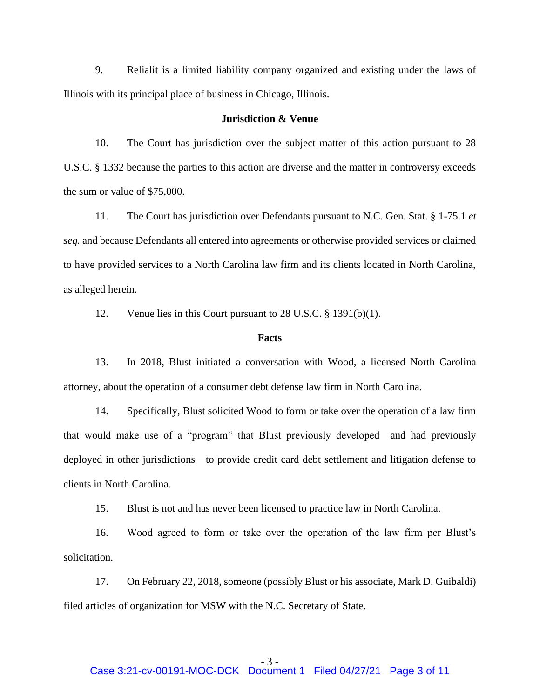9. Relialit is a limited liability company organized and existing under the laws of Illinois with its principal place of business in Chicago, Illinois.

#### **Jurisdiction & Venue**

10. The Court has jurisdiction over the subject matter of this action pursuant to 28 U.S.C. § 1332 because the parties to this action are diverse and the matter in controversy exceeds the sum or value of \$75,000.

11. The Court has jurisdiction over Defendants pursuant to N.C. Gen. Stat. § 1-75.1 *et seq.* and because Defendants all entered into agreements or otherwise provided services or claimed to have provided services to a North Carolina law firm and its clients located in North Carolina, as alleged herein.

12. Venue lies in this Court pursuant to 28 U.S.C. § 1391(b)(1).

#### **Facts**

13. In 2018, Blust initiated a conversation with Wood, a licensed North Carolina attorney, about the operation of a consumer debt defense law firm in North Carolina.

14. Specifically, Blust solicited Wood to form or take over the operation of a law firm that would make use of a "program" that Blust previously developed—and had previously deployed in other jurisdictions—to provide credit card debt settlement and litigation defense to clients in North Carolina.

15. Blust is not and has never been licensed to practice law in North Carolina.

16. Wood agreed to form or take over the operation of the law firm per Blust's solicitation.

17. On February 22, 2018, someone (possibly Blust or his associate, Mark D. Guibaldi) filed articles of organization for MSW with the N.C. Secretary of State.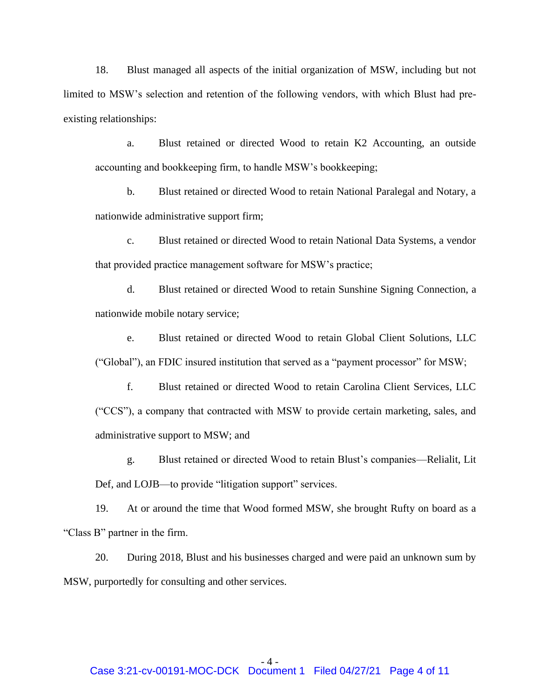18. Blust managed all aspects of the initial organization of MSW, including but not limited to MSW's selection and retention of the following vendors, with which Blust had preexisting relationships:

a. Blust retained or directed Wood to retain K2 Accounting, an outside accounting and bookkeeping firm, to handle MSW's bookkeeping;

b. Blust retained or directed Wood to retain National Paralegal and Notary, a nationwide administrative support firm;

c. Blust retained or directed Wood to retain National Data Systems, a vendor that provided practice management software for MSW's practice;

d. Blust retained or directed Wood to retain Sunshine Signing Connection, a nationwide mobile notary service;

e. Blust retained or directed Wood to retain Global Client Solutions, LLC ("Global"), an FDIC insured institution that served as a "payment processor" for MSW;

f. Blust retained or directed Wood to retain Carolina Client Services, LLC ("CCS"), a company that contracted with MSW to provide certain marketing, sales, and administrative support to MSW; and

g. Blust retained or directed Wood to retain Blust's companies—Relialit, Lit Def, and LOJB—to provide "litigation support" services.

19. At or around the time that Wood formed MSW, she brought Rufty on board as a "Class B" partner in the firm.

20. During 2018, Blust and his businesses charged and were paid an unknown sum by MSW, purportedly for consulting and other services.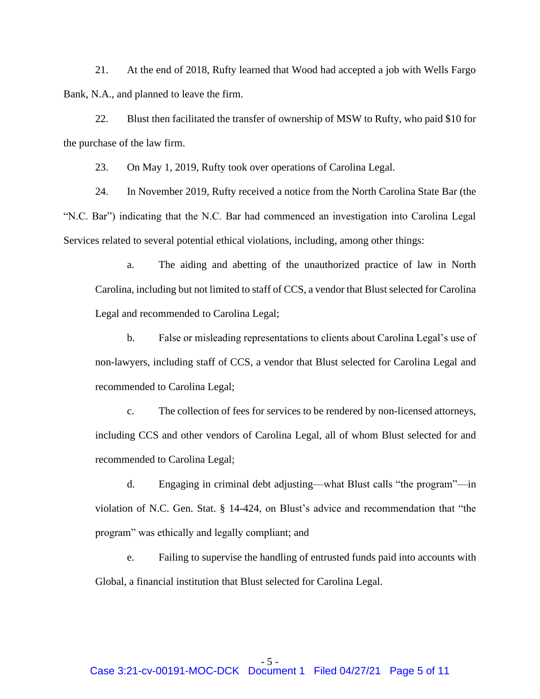21. At the end of 2018, Rufty learned that Wood had accepted a job with Wells Fargo Bank, N.A., and planned to leave the firm.

22. Blust then facilitated the transfer of ownership of MSW to Rufty, who paid \$10 for the purchase of the law firm.

23. On May 1, 2019, Rufty took over operations of Carolina Legal.

24. In November 2019, Rufty received a notice from the North Carolina State Bar (the "N.C. Bar") indicating that the N.C. Bar had commenced an investigation into Carolina Legal Services related to several potential ethical violations, including, among other things:

a. The aiding and abetting of the unauthorized practice of law in North Carolina, including but not limited to staff of CCS, a vendor that Blust selected for Carolina Legal and recommended to Carolina Legal;

b. False or misleading representations to clients about Carolina Legal's use of non-lawyers, including staff of CCS, a vendor that Blust selected for Carolina Legal and recommended to Carolina Legal;

c. The collection of fees for services to be rendered by non-licensed attorneys, including CCS and other vendors of Carolina Legal, all of whom Blust selected for and recommended to Carolina Legal;

d. Engaging in criminal debt adjusting—what Blust calls "the program"—in violation of N.C. Gen. Stat. § 14-424, on Blust's advice and recommendation that "the program" was ethically and legally compliant; and

e. Failing to supervise the handling of entrusted funds paid into accounts with Global, a financial institution that Blust selected for Carolina Legal.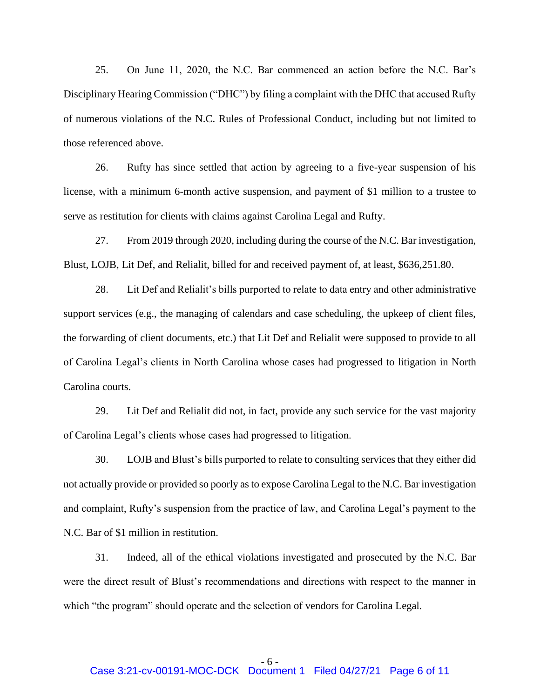25. On June 11, 2020, the N.C. Bar commenced an action before the N.C. Bar's Disciplinary Hearing Commission ("DHC") by filing a complaint with the DHC that accused Rufty of numerous violations of the N.C. Rules of Professional Conduct, including but not limited to those referenced above.

26. Rufty has since settled that action by agreeing to a five-year suspension of his license, with a minimum 6-month active suspension, and payment of \$1 million to a trustee to serve as restitution for clients with claims against Carolina Legal and Rufty.

27. From 2019 through 2020, including during the course of the N.C. Bar investigation, Blust, LOJB, Lit Def, and Relialit, billed for and received payment of, at least, \$636,251.80.

28. Lit Def and Relialit's bills purported to relate to data entry and other administrative support services (e.g., the managing of calendars and case scheduling, the upkeep of client files, the forwarding of client documents, etc.) that Lit Def and Relialit were supposed to provide to all of Carolina Legal's clients in North Carolina whose cases had progressed to litigation in North Carolina courts.

29. Lit Def and Relialit did not, in fact, provide any such service for the vast majority of Carolina Legal's clients whose cases had progressed to litigation.

30. LOJB and Blust's bills purported to relate to consulting services that they either did not actually provide or provided so poorly as to expose Carolina Legal to the N.C. Bar investigation and complaint, Rufty's suspension from the practice of law, and Carolina Legal's payment to the N.C. Bar of \$1 million in restitution.

31. Indeed, all of the ethical violations investigated and prosecuted by the N.C. Bar were the direct result of Blust's recommendations and directions with respect to the manner in which "the program" should operate and the selection of vendors for Carolina Legal.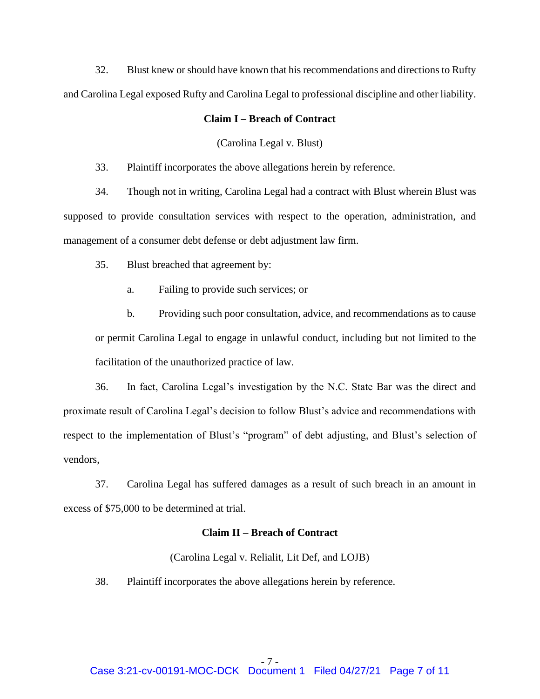32. Blust knew or should have known that his recommendations and directions to Rufty and Carolina Legal exposed Rufty and Carolina Legal to professional discipline and other liability.

# **Claim I – Breach of Contract**

(Carolina Legal v. Blust)

33. Plaintiff incorporates the above allegations herein by reference.

34. Though not in writing, Carolina Legal had a contract with Blust wherein Blust was supposed to provide consultation services with respect to the operation, administration, and management of a consumer debt defense or debt adjustment law firm.

35. Blust breached that agreement by:

a. Failing to provide such services; or

b. Providing such poor consultation, advice, and recommendations as to cause or permit Carolina Legal to engage in unlawful conduct, including but not limited to the facilitation of the unauthorized practice of law.

36. In fact, Carolina Legal's investigation by the N.C. State Bar was the direct and proximate result of Carolina Legal's decision to follow Blust's advice and recommendations with respect to the implementation of Blust's "program" of debt adjusting, and Blust's selection of vendors,

37. Carolina Legal has suffered damages as a result of such breach in an amount in excess of \$75,000 to be determined at trial.

# **Claim II – Breach of Contract**

(Carolina Legal v. Relialit, Lit Def, and LOJB)

38. Plaintiff incorporates the above allegations herein by reference.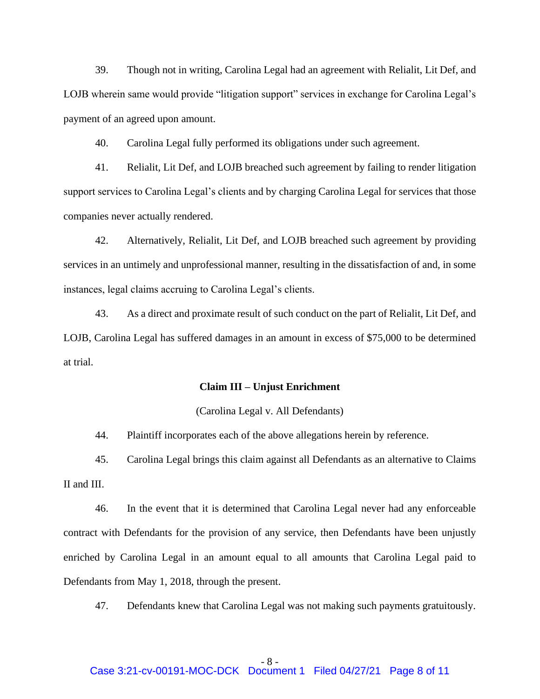39. Though not in writing, Carolina Legal had an agreement with Relialit, Lit Def, and LOJB wherein same would provide "litigation support" services in exchange for Carolina Legal's payment of an agreed upon amount.

40. Carolina Legal fully performed its obligations under such agreement.

41. Relialit, Lit Def, and LOJB breached such agreement by failing to render litigation support services to Carolina Legal's clients and by charging Carolina Legal for services that those companies never actually rendered.

42. Alternatively, Relialit, Lit Def, and LOJB breached such agreement by providing services in an untimely and unprofessional manner, resulting in the dissatisfaction of and, in some instances, legal claims accruing to Carolina Legal's clients.

43. As a direct and proximate result of such conduct on the part of Relialit, Lit Def, and LOJB, Carolina Legal has suffered damages in an amount in excess of \$75,000 to be determined at trial.

### **Claim III – Unjust Enrichment**

# (Carolina Legal v. All Defendants)

44. Plaintiff incorporates each of the above allegations herein by reference.

45. Carolina Legal brings this claim against all Defendants as an alternative to Claims

II and III.

46. In the event that it is determined that Carolina Legal never had any enforceable contract with Defendants for the provision of any service, then Defendants have been unjustly enriched by Carolina Legal in an amount equal to all amounts that Carolina Legal paid to Defendants from May 1, 2018, through the present.

47. Defendants knew that Carolina Legal was not making such payments gratuitously.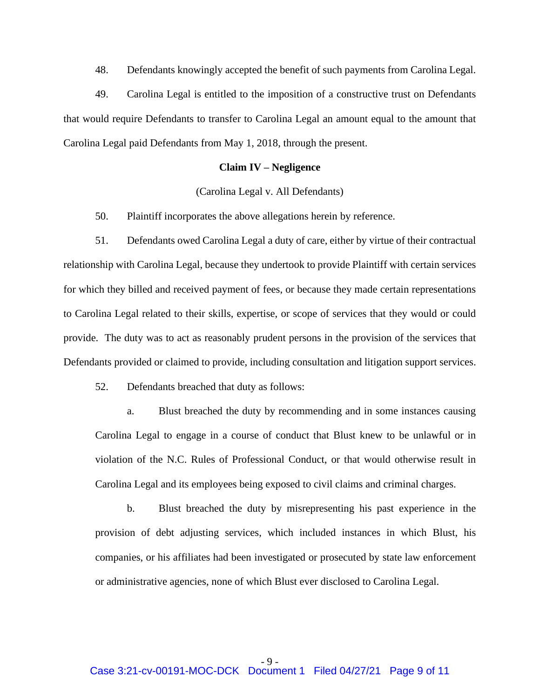48. Defendants knowingly accepted the benefit of such payments from Carolina Legal.

49. Carolina Legal is entitled to the imposition of a constructive trust on Defendants that would require Defendants to transfer to Carolina Legal an amount equal to the amount that Carolina Legal paid Defendants from May 1, 2018, through the present.

#### **Claim IV – Negligence**

# (Carolina Legal v. All Defendants)

50. Plaintiff incorporates the above allegations herein by reference.

51. Defendants owed Carolina Legal a duty of care, either by virtue of their contractual relationship with Carolina Legal, because they undertook to provide Plaintiff with certain services for which they billed and received payment of fees, or because they made certain representations to Carolina Legal related to their skills, expertise, or scope of services that they would or could provide. The duty was to act as reasonably prudent persons in the provision of the services that Defendants provided or claimed to provide, including consultation and litigation support services.

52. Defendants breached that duty as follows:

a. Blust breached the duty by recommending and in some instances causing Carolina Legal to engage in a course of conduct that Blust knew to be unlawful or in violation of the N.C. Rules of Professional Conduct, or that would otherwise result in Carolina Legal and its employees being exposed to civil claims and criminal charges.

b. Blust breached the duty by misrepresenting his past experience in the provision of debt adjusting services, which included instances in which Blust, his companies, or his affiliates had been investigated or prosecuted by state law enforcement or administrative agencies, none of which Blust ever disclosed to Carolina Legal.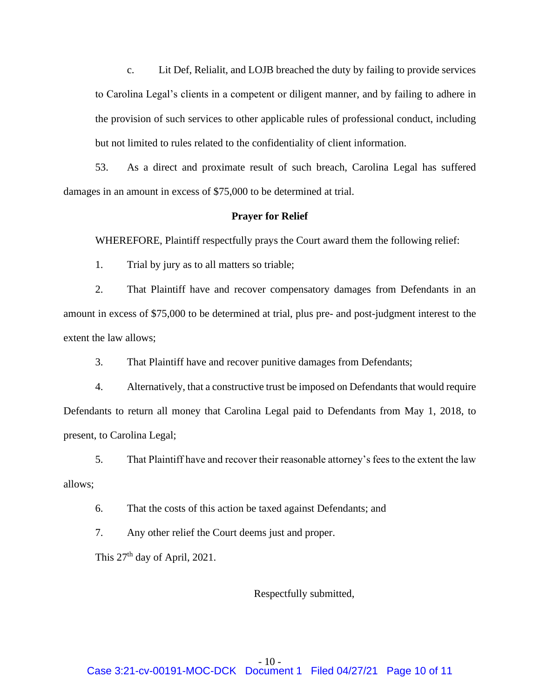c. Lit Def, Relialit, and LOJB breached the duty by failing to provide services to Carolina Legal's clients in a competent or diligent manner, and by failing to adhere in the provision of such services to other applicable rules of professional conduct, including but not limited to rules related to the confidentiality of client information.

53. As a direct and proximate result of such breach, Carolina Legal has suffered damages in an amount in excess of \$75,000 to be determined at trial.

#### **Prayer for Relief**

WHEREFORE, Plaintiff respectfully prays the Court award them the following relief:

1. Trial by jury as to all matters so triable;

2. That Plaintiff have and recover compensatory damages from Defendants in an amount in excess of \$75,000 to be determined at trial, plus pre- and post-judgment interest to the extent the law allows;

3. That Plaintiff have and recover punitive damages from Defendants;

4. Alternatively, that a constructive trust be imposed on Defendants that would require Defendants to return all money that Carolina Legal paid to Defendants from May 1, 2018, to present, to Carolina Legal;

5. That Plaintiff have and recover their reasonable attorney's fees to the extent the law allows;

6. That the costs of this action be taxed against Defendants; and

7. Any other relief the Court deems just and proper.

This 27<sup>th</sup> day of April, 2021.

### Respectfully submitted,